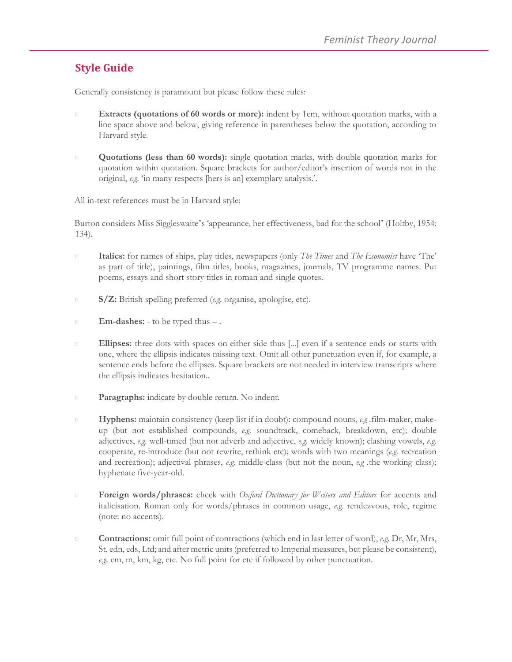# **Style Guide**

Generally consistency is paramount but please follow these rules:

- **Extracts (quotations of 60 words or more):** indent by 1cm, without quotation marks, with a line space above and below, giving reference in parentheses below the quotation, according to Harvard style.
- **Quotations (less than 60 words):** single quotation marks, with double quotation marks for  $\Box$ quotation within quotation. Square brackets for author/editor's insertion of words not in the original, *e.g.* 'in many respects [hers is an] exemplary analysis.'.

All in-text references must be in Harvard style:

Burton considers Miss Siggleswaite's 'appearance, her effectiveness, bad for the school' (Holtby, 1954: 134).

- $\Box$ **Italics:** for names of ships, play titles, newspapers (only *The Times* and *The Economist* have 'The' as part of title), paintings, film titles, books, magazines, journals, TV programme names. Put poems, essays and short story titles in roman and single quotes.
- **S/Z:** British spelling preferred (*e.g.* organise, apologise, etc).  $\Box$
- **Em-dashes:**  to be typed thus .  $\Box$
- $\Box$ **Ellipses:** three dots with spaces on either side thus [...] even if a sentence ends or starts with one, where the ellipsis indicates missing text. Omit all other punctuation even if, for example, a sentence ends before the ellipses. Square brackets are not needed in interview transcripts where the ellipsis indicates hesitation..
- **Paragraphs:** indicate by double return. No indent.  $\Box$
- **Hyphens:** maintain consistency (keep list if in doubt): compound nouns, *e.g .*film-maker, make- $\Box$ up (but not established compounds, *e.g.* soundtrack, comeback, breakdown, etc); double adjectives, *e.g.* well-timed (but not adverb and adjective, *e.g.* widely known); clashing vowels, *e.g.*  cooperate, re-introduce (but not rewrite, rethink etc); words with two meanings (*e.g.* recreation and recreation); adjectival phrases, *e.g.* middle-class (but not the noun, *e.g .*the working class); hyphenate five-year-old.
- **Foreign words/phrases:** check with *Oxford Dictionary for Writers and Editors* for accents and  $\Box$ italicisation. Roman only for words/phrases in common usage, *e.g.* rendezvous, role, regime (note: no accents).
- **Contractions:** omit full point of contractions (which end in last letter of word), *e.g.* Dr, Mr, Mrs,  $\Box$ St, edn, eds, Ltd; and after metric units (preferred to Imperial measures, but please be consistent), *e.g.* cm, m, km, kg, etc. No full point for etc if followed by other punctuation.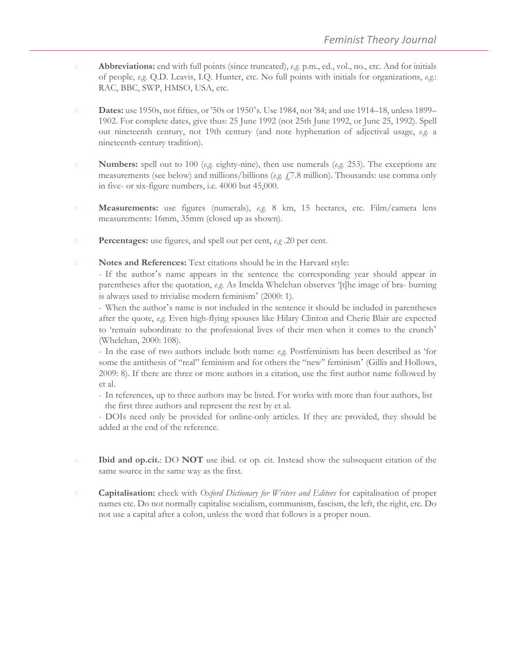- **Abbreviations:** end with full points (since truncated), *e.g.* p.m., ed., vol., no., etc. And for initials of people, *e.g.* Q.D. Leavis, I.Q. Hunter, etc. No full points with initials for organizations, *e.g.*: RAC, BBC, SWP, HMSO, USA, etc.
- **Dates:** use 1950s, not fifties, or '50s or 1950's. Use 1984, not '84; and use 1914–18, unless 1899–  $\Box$ 1902. For complete dates, give thus: 25 June 1992 (not 25th June 1992, or June 25, 1992). Spell out nineteenth century, not 19th century (and note hyphenation of adjectival usage, *e.g.* a nineteenth-century tradition).
- $\Box$ **Numbers:** spell out to 100 (*e.g.* eighty-nine), then use numerals (*e.g.* 253). The exceptions are measurements (see below) and millions/billions (*e.g.* £7.8 million). Thousands: use comma only in five- or six-figure numbers, i.e. 4000 but 45,000.
- **Measurements:** use figures (numerals), *e.g.* 8 km, 15 hectares, etc. Film/camera lens  $\Box$ measurements: 16mm, 35mm (closed up as shown).
- **Percentages:** use figures, and spell out per cent, *e.g .*20 per cent.  $\Box$
- **Notes and References:** Text citations should be in the Harvard style:  $\Box$

- If the author's name appears in the sentence the corresponding year should appear in parentheses after the quotation, *e.g.* As Imelda Whelehan observes '[t]he image of bra- burning is always used to trivialise modern feminism' (2000: 1).

- When the author's name is not included in the sentence it should be included in parentheses after the quote, *e.g.* Even high-flying spouses like Hilary Clinton and Cherie Blair are expected to 'remain subordinate to the professional lives of their men when it comes to the crunch' (Whelehan, 2000: 108).

- In the case of two authors include both name: *e.g.* Postfeminism has been described as 'for some the antithesis of "real" feminism and for others the "new" feminism' (Gillis and Hollows, 2009: 8). If there are three or more authors in a citation, use the first author name followed by et al.

- In references, up to three authors may be listed. For works with more than four authors, list the first three authors and represent the rest by et al.

- DOIs need only be provided for online-only articles. If they are provided, they should be added at the end of the reference.

- **Ibid and op.cit.**: DO **NOT** use ibid. or op. cit. Instead show the subsequent citation of the  $\Box$ same source in the same way as the first.
- **Capitalisation:** check with *Oxford Dictionary for Writers and Editors* for capitalisation of proper  $\Box$ names etc. Do not normally capitalise socialism, communism, fascism, the left, the right, etc. Do not use a capital after a colon, unless the word that follows is a proper noun.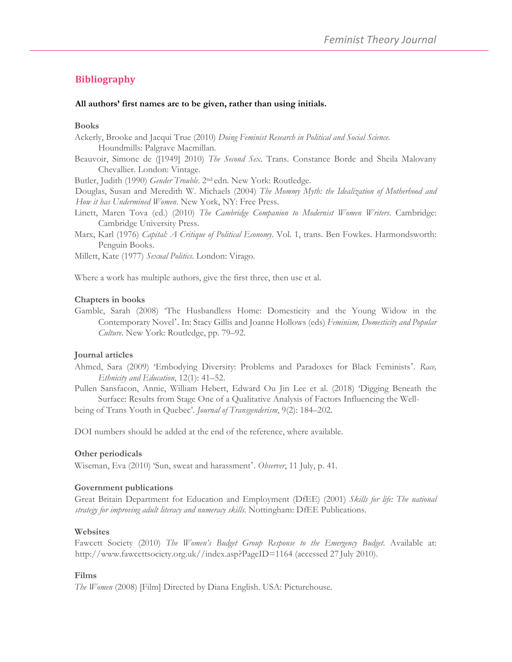# **Bibliography**

#### **All authors' first names are to be given, rather than using initials.**

#### **Books**

Ackerly, Brooke and Jacqui True (2010) *Doing Feminist Research in Political and Social Science*. Houndmills: Palgrave Macmillan.

Beauvoir, Simone de ([1949] 2010) *The Second Sex*. Trans. Constance Borde and Sheila Malovany Chevallier. London: Vintage.

Butler, Judith (1990) *Gender Trouble*. 2nd edn. New York: Routledge.

Douglas, Susan and Meredith W. Michaels (2004) *The Mommy Myth: the Idealization of Motherhood and How it has Undermined Women*. New York, NY: Free Press.

Linett, Maren Tova (ed.) (2010) *The Cambridge Companion to Modernist Women Writers*. Cambridge: Cambridge University Press.

Marx, Karl (1976) *Capital: A Critique of Political Economy*. Vol. 1, trans. Ben Fowkes. Harmondsworth: Penguin Books.

Millett, Kate (1977) *Sexual Politics*. London: Virago.

Where a work has multiple authors, give the first three, then use et al.

#### **Chapters in books**

Gamble, Sarah (2008) 'The Husbandless Home: Domesticity and the Young Widow in the Contemporary Novel'. In: Stacy Gillis and Joanne Hollows (eds) *Feminism, Domesticity and Popular Culture*. New York: Routledge, pp. 79–92.

#### **Journal articles**

Ahmed, Sara (2009) 'Embodying Diversity: Problems and Paradoxes for Black Feminists'. *Race, Ethnicity and Education*, 12(1): 41–52.

Pullen Sansfacon, Annie, William Hebert, Edward Ou Jin Lee et al. (2018) 'Digging Beneath the Surface: Results from Stage One of a Qualitative Analysis of Factors Influencing the Well-

being of Trans Youth in Quebec'. *Journal of Transgenderism*, 9(2): 184–202.

DOI numbers should be added at the end of the reference, where available.

#### **Other periodicals**

Wiseman, Eva (2010) 'Sun, sweat and harassment'. *Observer*, 11 July, p. 41.

#### **Government publications**

Great Britain Department for Education and Employment (DfEE) (2001) *Skills for life: The national strategy for improving adult literacy and numeracy skills*. Nottingham: DfEE Publications.

#### **Websites**

Fawcett Society (2010) *The Women's Budget Group Response to the Emergency Budget*. Available at: http://www.fawcettsociety.org.uk//index.asp?PageID=1164 (accessed 27 July 2010).

#### **Films**

*The Women* (2008) [Film] Directed by Diana English. USA: Picturehouse.